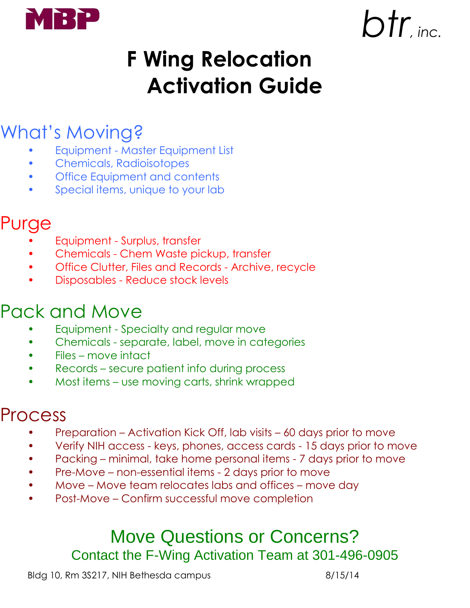

# $b$ *btr*<sub>inc</sub>.

### **F Wing Relocation Activation Guide**

### What's Moving?

- Equipment Master Equipment List
- Chemicals, Radioisotopes
- **Office Equipment and contents**
- Special items, unique to your lab

#### Purge

- Equipment Surplus, transfer
- Chemicals Chem Waste pickup, transfer
- Office Clutter, Files and Records Archive, recycle
- Disposables Reduce stock levels

#### Pack and Move

- Equipment Specialty and regular move
- Chemicals separate, label, move in categories
- Files move intact
- Records secure patient info during process
- Most items use moving carts, shrink wrapped

#### Process

- Preparation Activation Kick Off, lab visits 60 days prior to move
- Verify NIH access keys, phones, access cards 15 days prior to move
- Packing minimal, take home personal items 7 days prior to move
- Pre-Move non-essential items 2 days prior to move
- Move Move team relocates labs and offices move day
- Post-Move Confirm successful move completion

#### Move Questions or Concerns? Contact the F-Wing Activation Team at 301-496-0905

Bldg 10, Rm 3S217, NIH Bethesda campus 8/15/14